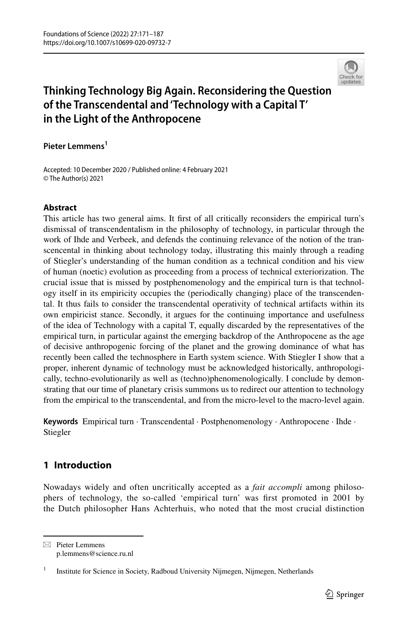

# **Thinking Technology Big Again. Reconsidering the Question of the Transcendental and 'Technology with a Capital T' in the Light of the Anthropocene**

**Pieter Lemmens1**

Accepted: 10 December 2020 / Published online: 4 February 2021 © The Author(s) 2021

### **Abstract**

This article has two general aims. It first of all critically reconsiders the empirical turn's dismissal of transcendentalism in the philosophy of technology, in particular through the work of Ihde and Verbeek, and defends the continuing relevance of the notion of the transcencental in thinking about technology today, illustrating this mainly through a reading of Stiegler's understanding of the human condition as a technical condition and his view of human (noetic) evolution as proceeding from a process of technical exteriorization. The crucial issue that is missed by postphenomenology and the empirical turn is that technology itself in its empiricity occupies the (periodically changing) place of the transcendental. It thus fails to consider the transcendental operativity of technical artifacts within its own empiricist stance. Secondly, it argues for the continuing importance and usefulness of the idea of Technology with a capital T, equally discarded by the representatives of the empirical turn, in particular against the emerging backdrop of the Anthropocene as the age of decisive anthropogenic forcing of the planet and the growing dominance of what has recently been called the technosphere in Earth system science. With Stiegler I show that a proper, inherent dynamic of technology must be acknowledged historically, anthropologically, techno-evolutionarily as well as (techno)phenomenologically. I conclude by demonstrating that our time of planetary crisis summons us to redirect our attention to technology from the empirical to the transcendental, and from the micro-level to the macro-level again.

**Keywords** Empirical turn · Transcendental · Postphenomenology · Anthropocene · Ihde · Stiegler

## **1 Introduction**

Nowadays widely and often uncritically accepted as a *fait accompli* among philosophers of technology, the so-called 'empirical turn' was frst promoted in 2001 by the Dutch philosopher Hans Achterhuis, who noted that the most crucial distinction

 $\boxtimes$  Pieter Lemmens p.lemmens@science.ru.nl

<sup>&</sup>lt;sup>1</sup> Institute for Science in Society, Radboud University Nijmegen, Nijmegen, Netherlands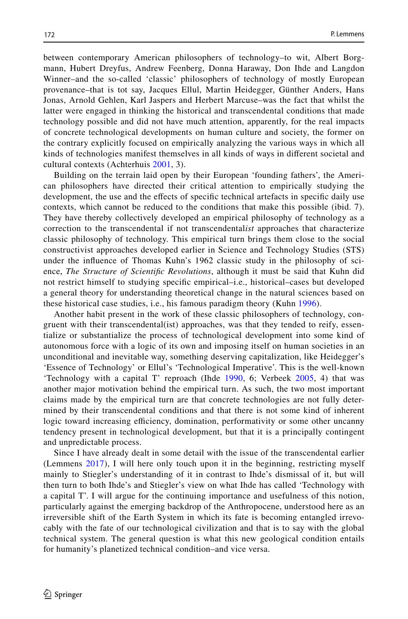between contemporary American philosophers of technology–to wit, Albert Borgmann, Hubert Dreyfus, Andrew Feenberg, Donna Haraway, Don Ihde and Langdon Winner–and the so-called 'classic' philosophers of technology of mostly European provenance–that is tot say, Jacques Ellul, Martin Heidegger, Günther Anders, Hans Jonas, Arnold Gehlen, Karl Jaspers and Herbert Marcuse–was the fact that whilst the latter were engaged in thinking the historical and transcendental conditions that made technology possible and did not have much attention, apparently, for the real impacts of concrete technological developments on human culture and society, the former on the contrary explicitly focused on empirically analyzing the various ways in which all kinds of technologies manifest themselves in all kinds of ways in diferent societal and cultural contexts (Achterhuis [2001](#page-14-0), 3).

Building on the terrain laid open by their European 'founding fathers', the American philosophers have directed their critical attention to empirically studying the development, the use and the efects of specifc technical artefacts in specifc daily use contexts, which cannot be reduced to the conditions that make this possible (ibid. 7). They have thereby collectively developed an empirical philosophy of technology as a correction to the transcendental if not transcendental*ist* approaches that characterize classic philosophy of technology. This empirical turn brings them close to the social constructivist approaches developed earlier in Science and Technology Studies (STS) under the infuence of Thomas Kuhn's 1962 classic study in the philosophy of science, *The Structure of Scientifc Revolutions*, although it must be said that Kuhn did not restrict himself to studying specifc empirical–i.e., historical–cases but developed a general theory for understanding theoretical change in the natural sciences based on these historical case studies, i.e., his famous paradigm theory (Kuhn [1996](#page-15-0)).

Another habit present in the work of these classic philosophers of technology, congruent with their transcendental(ist) approaches, was that they tended to reify, essentialize or substantialize the process of technological development into some kind of autonomous force with a logic of its own and imposing itself on human societies in an unconditional and inevitable way, something deserving capitalization, like Heidegger's 'Essence of Technology' or Ellul's 'Technological Imperative'. This is the well-known 'Technology with a capital T' reproach (Ihde [1990,](#page-15-1) 6; Verbeek [2005](#page-16-0), 4) that was another major motivation behind the empirical turn. As such, the two most important claims made by the empirical turn are that concrete technologies are not fully determined by their transcendental conditions and that there is not some kind of inherent logic toward increasing efficiency, domination, performativity or some other uncanny tendency present in technological development, but that it is a principally contingent and unpredictable process.

Since I have already dealt in some detail with the issue of the transcendental earlier (Lemmens [2017](#page-15-2)), I will here only touch upon it in the beginning, restricting myself mainly to Stiegler's understanding of it in contrast to Ihde's dismissal of it, but will then turn to both Ihde's and Stiegler's view on what Ihde has called 'Technology with a capital T'. I will argue for the continuing importance and usefulness of this notion, particularly against the emerging backdrop of the Anthropocene, understood here as an irreversible shift of the Earth System in which its fate is becoming entangled irrevocably with the fate of our technological civilization and that is to say with the global technical system. The general question is what this new geological condition entails for humanity's planetized technical condition–and vice versa.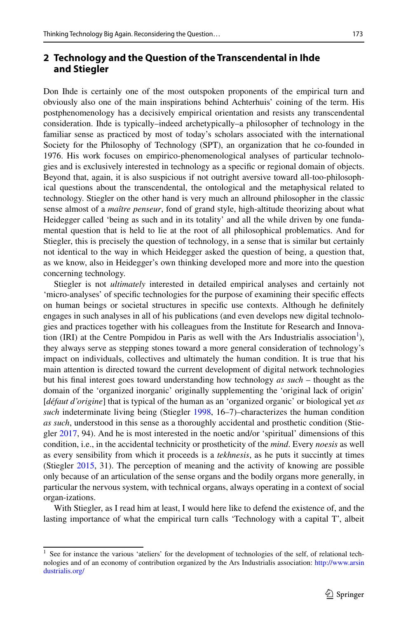## **2 Technology and the Question of the Transcendental in Ihde and Stiegler**

Don Ihde is certainly one of the most outspoken proponents of the empirical turn and obviously also one of the main inspirations behind Achterhuis' coining of the term. His postphenomenology has a decisively empirical orientation and resists any transcendental consideration. Ihde is typically–indeed archetypically–a philosopher of technology in the familiar sense as practiced by most of today's scholars associated with the international Society for the Philosophy of Technology (SPT), an organization that he co-founded in 1976. His work focuses on empirico-phenomenological analyses of particular technologies and is exclusively interested in technology as a specifc or regional domain of objects. Beyond that, again, it is also suspicious if not outright aversive toward all-too-philosophical questions about the transcendental, the ontological and the metaphysical related to technology. Stiegler on the other hand is very much an allround philosopher in the classic sense almost of a *maître penseur*, fond of grand style, high-altitude theorizing about what Heidegger called 'being as such and in its totality' and all the while driven by one fundamental question that is held to lie at the root of all philosophical problematics. And for Stiegler, this is precisely the question of technology, in a sense that is similar but certainly not identical to the way in which Heidegger asked the question of being, a question that, as we know, also in Heidegger's own thinking developed more and more into the question concerning technology.

Stiegler is not *ultimately* interested in detailed empirical analyses and certainly not 'micro-analyses' of specifc technologies for the purpose of examining their specifc efects on human beings or societal structures in specifc use contexts. Although he defnitely engages in such analyses in all of his publications (and even develops new digital technologies and practices together with his colleagues from the Institute for Research and Innova-tion (IRI) at the Centre Pompidou in Paris as well with the Ars Industrialis association<sup>[1](#page-2-0)</sup>), they always serve as stepping stones toward a more general consideration of technology's impact on individuals, collectives and ultimately the human condition. It is true that his main attention is directed toward the current development of digital network technologies but his fnal interest goes toward understanding how technology *as such* – thought as the domain of the 'organized inorganic' originally supplementing the 'original lack of origin' [*défaut d'origine*] that is typical of the human as an 'organized organic' or biological yet *as such* indeterminate living being (Stiegler [1998](#page-15-3), 16–7)–characterizes the human condition *as such*, understood in this sense as a thoroughly accidental and prosthetic condition (Stiegler [2017](#page-15-4), 94). And he is most interested in the noetic and/or 'spiritual' dimensions of this condition, i.e., in the accidental technicity or prostheticity of the *mind*. Every *noesis* as well as every sensibility from which it proceeds is a *tekhnesis*, as he puts it succintly at times (Stiegler [2015,](#page-15-5) 31). The perception of meaning and the activity of knowing are possible only because of an articulation of the sense organs and the bodily organs more generally, in particular the nervous system, with technical organs, always operating in a context of social organ-izations.

With Stiegler, as I read him at least, I would here like to defend the existence of, and the lasting importance of what the empirical turn calls 'Technology with a capital T', albeit

<span id="page-2-0"></span><sup>&</sup>lt;sup>1</sup> See for instance the various 'ateliers' for the development of technologies of the self, of relational technologies and of an economy of contribution organized by the Ars Industrialis association: [http://www.arsin](http://www.arsindustrialis.org/) [dustrialis.org/](http://www.arsindustrialis.org/)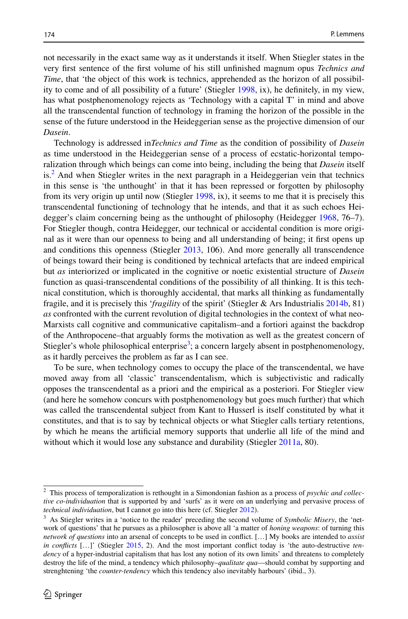not necessarily in the exact same way as it understands it itself. When Stiegler states in the very frst sentence of the frst volume of his still unfnished magnum opus *Technics and Time*, that 'the object of this work is technics, apprehended as the horizon of all possibility to come and of all possibility of a future' (Stiegler [1998,](#page-15-3) ix), he defnitely, in my view, has what postphenomenology rejects as 'Technology with a capital T' in mind and above all the transcendental function of technology in framing the horizon of the possible in the sense of the future understood in the Heideggerian sense as the projective dimension of our *Dasein*.

Technology is addressed in*Technics and Time* as the condition of possibility of *Dasein* as time understood in the Heideggerian sense of a process of ecstatic-horizontal temporalization through which beings can come into being, including the being that *Dasein* itself is.<sup>2</sup> And when Stiegler writes in the next paragraph in a Heideggerian vein that technics in this sense is 'the unthought' in that it has been repressed or forgotten by philosophy from its very origin up until now (Stiegler [1998,](#page-15-3) ix), it seems to me that it is precisely this transcendental functioning of technology that he intends, and that it as such echoes Heidegger's claim concerning being as the unthought of philosophy (Heidegger [1968,](#page-14-1) 76–7). For Stiegler though, contra Heidegger, our technical or accidental condition is more original as it were than our openness to being and all understanding of being; it frst opens up and conditions this openness (Stiegler [2013,](#page-15-6) 106). And more generally all transcendence of beings toward their being is conditioned by technical artefacts that are indeed empirical but *as* interiorized or implicated in the cognitive or noetic existential structure of *Dasein* function as quasi-transcendental conditions of the possibility of all thinking. It is this technical constitution, which is thoroughly accidental, that marks all thinking as fundamentally fragile, and it is precisely this '*fragility* of the spirit' (Stiegler & Ars Industrialis [2014b](#page-16-1), 81) *as* confronted with the current revolution of digital technologies in the context of what neo-Marxists call cognitive and communicative capitalism–and a fortiori against the backdrop of the Anthropocene–that arguably forms the motivation as well as the greatest concern of Stiegler's whole philosophical enterprise<sup>[3](#page-3-1)</sup>; a concern largely absent in postphenomenology, as it hardly perceives the problem as far as I can see.

To be sure, when technology comes to occupy the place of the transcendental, we have moved away from all 'classic' transcendentalism, which is subjectivistic and radically opposes the transcendental as a priori and the empirical as a posteriori. For Stiegler view (and here he somehow concurs with postphenomenology but goes much further) that which was called the transcendental subject from Kant to Husserl is itself constituted by what it constitutes, and that is to say by technical objects or what Stiegler calls tertiary retentions, by which he means the artifcial memory supports that underlie all life of the mind and without which it would lose any substance and durability (Stiegler [2011a,](#page-15-7) 80).

<span id="page-3-0"></span><sup>2</sup> This process of temporalization is rethought in a Simondonian fashion as a process of *psychic and collective co-individuation* that is supported by and 'surfs' as it were on an underlying and pervasive process of *technical individuation*, but I cannot go into this here (cf. Stiegler [2012](#page-15-8)).

<span id="page-3-1"></span><sup>3</sup> As Stiegler writes in a 'notice to the reader' preceding the second volume of *Symbolic Misery*, the 'network of questions' that he pursues as a philosopher is above all 'a matter of *honing weapons*: of turning this *network of questions* into an arsenal of concepts to be used in confict. […] My books are intended to *assist in conficts* […]' (Stiegler [2015](#page-15-9), 2). And the most important confict today is 'the auto-destructive *tendency* of a hyper-industrial capitalism that has lost any notion of its own limits' and threatens to completely destroy the life of the mind, a tendency which philosophy–*qualitate qua*—should combat by supporting and strenghtening 'the *counter-tendency* which this tendency also inevitably harbours' (ibid., 3).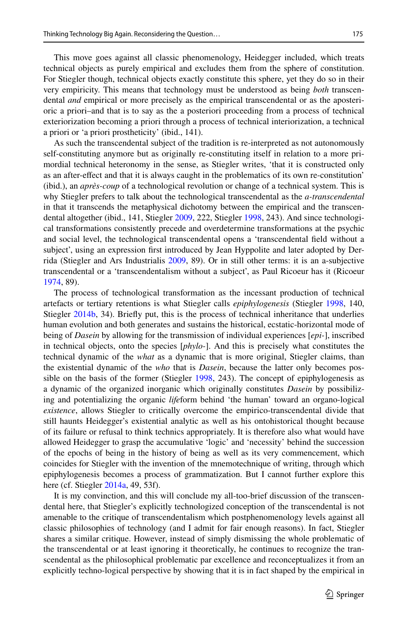This move goes against all classic phenomenology, Heidegger included, which treats technical objects as purely empirical and excludes them from the sphere of constitution. For Stiegler though, technical objects exactly constitute this sphere, yet they do so in their very empiricity. This means that technology must be understood as being *both* transcendental *and* empirical or more precisely as the empirical transcendental or as the aposterioric a priori–and that is to say as the a posteriori proceeding from a process of technical exteriorization becoming a priori through a process of technical interiorization, a technical a priori or 'a priori prostheticity' (ibid., 141).

As such the transcendental subject of the tradition is re-interpreted as not autonomously self-constituting anymore but as originally re-constituting itself in relation to a more primordial technical heteronomy in the sense, as Stiegler writes, 'that it is constructed only as an after-efect and that it is always caught in the problematics of its own re-constitution' (ibid.), an *après-coup* of a technological revolution or change of a technical system. This is why Stiegler prefers to talk about the technological transcendental as the *a-transcendental* in that it transcends the metaphysical dichotomy between the empirical and the transcendental altogether (ibid., 141, Stiegler [2009](#page-15-10), 222, Stiegler [1998](#page-15-3), 243). And since technological transformations consistently precede and overdetermine transformations at the psychic and social level, the technological transcendental opens a 'transcendental feld without a subject', using an expression frst introduced by Jean Hyppolite and later adopted by Derrida (Stiegler and Ars Industrialis [2009](#page-16-2), 89). Or in still other terms: it is an a-subjective transcendental or a 'transcendentalism without a subject', as Paul Ricoeur has it (Ricoeur [1974,](#page-15-11) 89).

The process of technological transformation as the incessant production of technical artefacts or tertiary retentions is what Stiegler calls *epiphylogenesis* (Stiegler [1998](#page-15-3), 140, Stiegler [2014b](#page-15-12), 34). Briefy put, this is the process of technical inheritance that underlies human evolution and both generates and sustains the historical, ecstatic-horizontal mode of being of *Dasein* by allowing for the transmission of individual experiences [*epi-*], inscribed in technical objects, onto the species [*phylo-*]. And this is precisely what constitutes the technical dynamic of the *what* as a dynamic that is more original, Stiegler claims, than the existential dynamic of the *who* that is *Dasein*, because the latter only becomes possible on the basis of the former (Stiegler [1998](#page-15-3), 243). The concept of epiphylogenesis as a dynamic of the organized inorganic which originally constitutes *Dasein* by possibilizing and potentializing the organic *life*form behind 'the human' toward an organo-logical *existence*, allows Stiegler to critically overcome the empirico-transcendental divide that still haunts Heidegger's existential analytic as well as his ontohistorical thought because of its failure or refusal to think technics appropriately. It is therefore also what would have allowed Heidegger to grasp the accumulative 'logic' and 'necessity' behind the succession of the epochs of being in the history of being as well as its very commencement, which coincides for Stiegler with the invention of the mnemotechnique of writing, through which epiphylogenesis becomes a process of grammatization. But I cannot further explore this here (cf. Stiegler [2014a,](#page-15-12) 49, 53f).

It is my convinction, and this will conclude my all-too-brief discussion of the transcendental here, that Stiegler's explicitly technologized conception of the transcendental is not amenable to the critique of transcendentalism which postphenomenology levels against all classic philosophies of technology (and I admit for fair enough reasons). In fact, Stiegler shares a similar critique. However, instead of simply dismissing the whole problematic of the transcendental or at least ignoring it theoretically, he continues to recognize the transcendental as the philosophical problematic par excellence and reconceptualizes it from an explicitly techno-logical perspective by showing that it is in fact shaped by the empirical in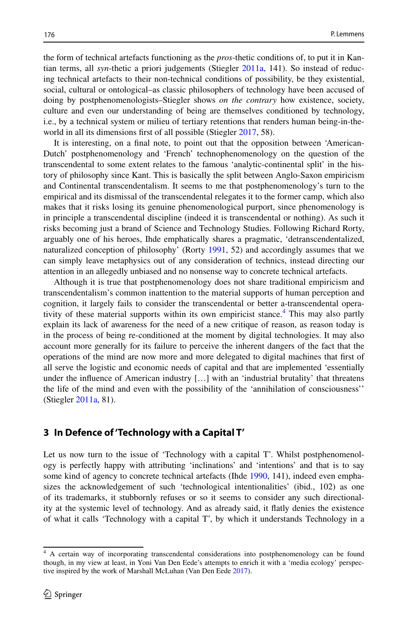the form of technical artefacts functioning as the *pros*-thetic conditions of, to put it in Kantian terms, all *syn*-thetic a priori judgements (Stiegler [2011a](#page-15-7), 141). So instead of reducing technical artefacts to their non-technical conditions of possibility, be they existential, social, cultural or ontological–as classic philosophers of technology have been accused of doing by postphenomenologists–Stiegler shows *on the contrary* how existence, society, culture and even our understanding of being are themselves conditioned by technology, i.e., by a technical system or milieu of tertiary retentions that renders human being-in-the-world in all its dimensions first of all possible (Stiegler [2017](#page-15-4), 58).

It is interesting, on a fnal note, to point out that the opposition between 'American-Dutch' postphenomenology and 'French' technophenomenology on the question of the transcendental to some extent relates to the famous 'analytic-continental split' in the history of philosophy since Kant. This is basically the split between Anglo-Saxon empiricism and Continental transcendentalism. It seems to me that postphenomenology's turn to the empirical and its dismissal of the transcendental relegates it to the former camp, which also makes that it risks losing its genuine phenomenological purport, since phenomenology is in principle a transcendental discipline (indeed it is transcendental or nothing). As such it risks becoming just a brand of Science and Technology Studies. Following Richard Rorty, arguably one of his heroes, Ihde emphatically shares a pragmatic, 'detranscendentalized, naturalized conception of philosophy' (Rorty [1991](#page-15-13), 52) and accordingly assumes that we can simply leave metaphysics out of any consideration of technics, instead directing our attention in an allegedly unbiased and no nonsense way to concrete technical artefacts.

Although it is true that postphenomenology does not share traditional empiricism and transcendentalism's common inattention to the material supports of human perception and cognition, it largely fails to consider the transcendental or better a-transcendental operativity of these material supports within its own empiricist stance.<sup>4</sup> This may also partly explain its lack of awareness for the need of a new critique of reason, as reason today is in the process of being re-conditioned at the moment by digital technologies. It may also account more generally for its failure to perceive the inherent dangers of the fact that the operations of the mind are now more and more delegated to digital machines that frst of all serve the logistic and economic needs of capital and that are implemented 'essentially under the infuence of American industry […] with an 'industrial brutality' that threatens the life of the mind and even with the possibility of the 'annihilation of consciousness'' (Stiegler [2011a,](#page-15-7) 81).

#### **3 In Defence of 'Technology with a Capital T'**

Let us now turn to the issue of 'Technology with a capital T'. Whilst postphenomenology is perfectly happy with attributing 'inclinations' and 'intentions' and that is to say some kind of agency to concrete technical artefacts (Ihde [1990](#page-15-1), 141), indeed even emphasizes the acknowledgement of such 'technological intentionalities' (ibid., 102) as one of its trademarks, it stubbornly refuses or so it seems to consider any such directionality at the systemic level of technology. And as already said, it fatly denies the existence of what it calls 'Technology with a capital T', by which it understands Technology in a

<span id="page-5-0"></span><sup>&</sup>lt;sup>4</sup> A certain way of incorporating transcendental considerations into postphenomenology can be found though, in my view at least, in Yoni Van Den Eede's attempts to enrich it with a 'media ecology' perspec-tive inspired by the work of Marshall McLuhan (Van Den Eede [2017](#page-16-3)).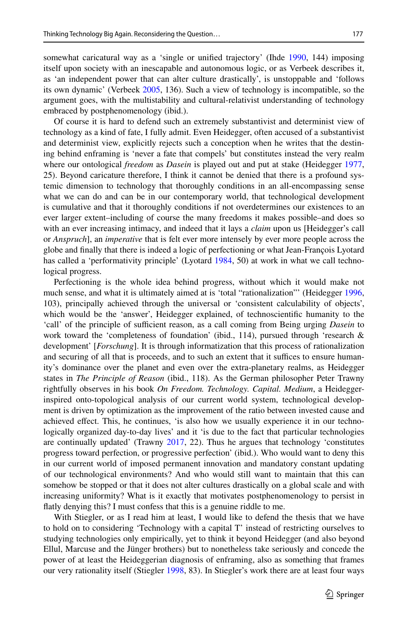somewhat caricatural way as a 'single or unified trajectory' (Ihde [1990,](#page-15-1) 144) imposing itself upon society with an inescapable and autonomous logic, or as Verbeek describes it, as 'an independent power that can alter culture drastically', is unstoppable and 'follows its own dynamic' (Verbeek [2005,](#page-16-0) 136). Such a view of technology is incompatible, so the argument goes, with the multistability and cultural-relativist understanding of technology embraced by postphenomenology (ibid.).

Of course it is hard to defend such an extremely substantivist and determinist view of technology as a kind of fate, I fully admit. Even Heidegger, often accused of a substantivist and determinist view, explicitly rejects such a conception when he writes that the destining behind enframing is 'never a fate that compels' but constitutes instead the very realm where our ontological *freedom* as *Dasein* is played out and put at stake (Heidegger [1977](#page-14-2), 25). Beyond caricature therefore, I think it cannot be denied that there is a profound systemic dimension to technology that thoroughly conditions in an all-encompassing sense what we can do and can be in our contemporary world, that technological development is cumulative and that it thoroughly conditions if not overdetermines our existences to an ever larger extent–including of course the many freedoms it makes possible–and does so with an ever increasing intimacy, and indeed that it lays a *claim* upon us [Heidegger's call or *Anspruch*], an *imperative* that is felt ever more intensely by ever more people across the globe and fnally that there is indeed a logic of perfectioning or what Jean-François Lyotard has called a 'performativity principle' (Lyotard [1984](#page-15-14), 50) at work in what we call technological progress.

Perfectioning is the whole idea behind progress, without which it would make not much sense, and what it is ultimately aimed at is 'total "rationalization"' (Heidegger [1996](#page-14-3), 103), principally achieved through the universal or 'consistent calculability of objects', which would be the 'answer', Heidegger explained, of technoscientifc humanity to the 'call' of the principle of sufficient reason, as a call coming from Being urging *Dasein* to work toward the 'completeness of foundation' (ibid., 114), pursued through 'research & development' [*Forschung*]. It is through informatization that this process of rationalization and securing of all that is proceeds, and to such an extent that it suffices to ensure humanity's dominance over the planet and even over the extra-planetary realms, as Heidegger states in *The Principle of Reason* (ibid., 118). As the German philosopher Peter Trawny rightfully observes in his book *On Freedom. Technology. Capital. Medium*, a Heideggerinspired onto-topological analysis of our current world system, technological development is driven by optimization as the improvement of the ratio between invested cause and achieved efect. This, he continues, 'is also how we usually experience it in our technologically organized day-to-day lives' and it 'is due to the fact that particular technologies are continually updated' (Trawny  $2017$ ,  $22$ ). Thus he argues that technology 'constitutes progress toward perfection, or progressive perfection' (ibid.). Who would want to deny this in our current world of imposed permanent innovation and mandatory constant updating of our technological environments? And who would still want to maintain that this can somehow be stopped or that it does not alter cultures drastically on a global scale and with increasing uniformity? What is it exactly that motivates postphenomenology to persist in fatly denying this? I must confess that this is a genuine riddle to me.

With Stiegler, or as I read him at least, I would like to defend the thesis that we have to hold on to considering 'Technology with a capital T' instead of restricting ourselves to studying technologies only empirically, yet to think it beyond Heidegger (and also beyond Ellul, Marcuse and the Jünger brothers) but to nonetheless take seriously and concede the power of at least the Heideggerian diagnosis of enframing, also as something that frames our very rationality itself (Stiegler [1998](#page-15-3), 83). In Stiegler's work there are at least four ways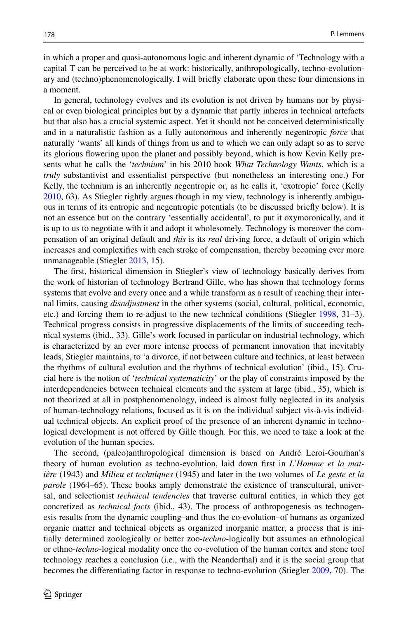in which a proper and quasi-autonomous logic and inherent dynamic of 'Technology with a capital T can be perceived to be at work: historically, anthropologically, techno-evolutionary and (techno)phenomenologically. I will briefy elaborate upon these four dimensions in a moment.

In general, technology evolves and its evolution is not driven by humans nor by physical or even biological principles but by a dynamic that partly inheres in technical artefacts but that also has a crucial systemic aspect. Yet it should not be conceived deterministically and in a naturalistic fashion as a fully autonomous and inherently negentropic *force* that naturally 'wants' all kinds of things from us and to which we can only adapt so as to serve its glorious fowering upon the planet and possibly beyond, which is how Kevin Kelly presents what he calls the '*technium*' in his 2010 book *What Technology Wants*, which is a *truly* substantivist and essentialist perspective (but nonetheless an interesting one.) For Kelly, the technium is an inherently negentropic or, as he calls it, 'exotropic' force (Kelly [2010,](#page-15-15) 63). As Stiegler rightly argues though in my view, technology is inherently ambiguous in terms of its entropic and negentropic potentials (to be discussed briefy below). It is not an essence but on the contrary 'essentially accidental', to put it oxymoronically, and it is up to us to negotiate with it and adopt it wholesomely. Technology is moreover the compensation of an original default and *this* is its *real* driving force, a default of origin which increases and complexifes with each stroke of compensation, thereby becoming ever more unmanageable (Stiegler [2013,](#page-15-6) 15).

The frst, historical dimension in Stiegler's view of technology basically derives from the work of historian of technology Bertrand Gille, who has shown that technology forms systems that evolve and every once and a while transform as a result of reaching their internal limits, causing *disadjustment* in the other systems (social, cultural, political, economic, etc.) and forcing them to re-adjust to the new technical conditions (Stiegler [1998](#page-15-3), 31–3). Technical progress consists in progressive displacements of the limits of succeeding technical systems (ibid., 33). Gille's work focused in particular on industrial technology, which is characterized by an ever more intense process of permanent innovation that inevitably leads, Stiegler maintains, to 'a divorce, if not between culture and technics, at least between the rhythms of cultural evolution and the rhythms of technical evolution' (ibid., 15). Crucial here is the notion of '*technical systematicity*' or the play of constraints imposed by the interdependencies between technical elements and the system at large (ibid., 35), which is not theorized at all in postphenomenology, indeed is almost fully neglected in its analysis of human-technology relations, focused as it is on the individual subject vis-à-vis individual technical objects. An explicit proof of the presence of an inherent dynamic in technological development is not ofered by Gille though. For this, we need to take a look at the evolution of the human species.

The second, (paleo)anthropological dimension is based on André Leroi-Gourhan's theory of human evolution as techno-evolution, laid down frst in *L'Homme et la matière* (1943) and *Milieu et techniques* (1945) and later in the two volumes of *Le geste et la parole* (1964–65). These books amply demonstrate the existence of transcultural, universal, and selectionist *technical tendencies* that traverse cultural entities, in which they get concretized as *technical facts* (ibid., 43). The process of anthropogenesis as technogenesis results from the dynamic coupling–and thus the co-evolution–of humans as organized organic matter and technical objects as organized inorganic matter, a process that is initially determined zoologically or better zoo-*techno*-logically but assumes an ethnological or ethno-*techno*-logical modality once the co-evolution of the human cortex and stone tool technology reaches a conclusion (i.e., with the Neanderthal) and it is the social group that becomes the diferentiating factor in response to techno-evolution (Stiegler [2009,](#page-15-10) 70). The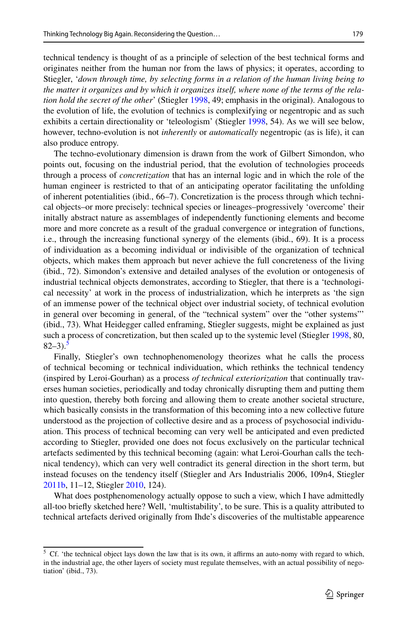technical tendency is thought of as a principle of selection of the best technical forms and originates neither from the human nor from the laws of physics; it operates, according to Stiegler, '*down through time, by selecting forms in a relation of the human living being to the matter it organizes and by which it organizes itself, where none of the terms of the relation hold the secret of the other*' (Stiegler [1998](#page-15-3), 49; emphasis in the original). Analogous to the evolution of life, the evolution of technics is complexifying or negentropic and as such exhibits a certain directionality or 'teleologism' (Stiegler [1998](#page-15-3), 54). As we will see below, however, techno-evolution is not *inherently* or *automatically* negentropic (as is life), it can also produce entropy.

The techno-evolutionary dimension is drawn from the work of Gilbert Simondon, who points out, focusing on the industrial period, that the evolution of technologies proceeds through a process of *concretization* that has an internal logic and in which the role of the human engineer is restricted to that of an anticipating operator facilitating the unfolding of inherent potentialities (ibid., 66–7). Concretization is the process through which technical objects–or more precisely: technical species or lineages–progressively 'overcome' their initally abstract nature as assemblages of independently functioning elements and become more and more concrete as a result of the gradual convergence or integration of functions, i.e., through the increasing functional synergy of the elements (ibid., 69). It is a process of individuation as a becoming individual or indivisible of the organization of technical objects, which makes them approach but never achieve the full concreteness of the living (ibid., 72). Simondon's extensive and detailed analyses of the evolution or ontogenesis of industrial technical objects demonstrates, according to Stiegler, that there is a 'technological necessity' at work in the process of industrialization, which he interprets as 'the sign of an immense power of the technical object over industrial society, of technical evolution in general over becoming in general, of the "technical system" over the "other systems"' (ibid., 73). What Heidegger called enframing, Stiegler suggests, might be explained as just such a process of concretization, but then scaled up to the systemic level (Stiegler [1998](#page-15-3), 80,  $82-3$ ).<sup>5</sup>

Finally, Stiegler's own technophenomenology theorizes what he calls the process of technical becoming or technical individuation, which rethinks the technical tendency (inspired by Leroi-Gourhan) as a process *of technical exteriorization* that continually traverses human societies, periodically and today chronically disrupting them and putting them into question, thereby both forcing and allowing them to create another societal structure, which basically consists in the transformation of this becoming into a new collective future understood as the projection of collective desire and as a process of psychosocial individuation. This process of technical becoming can very well be anticipated and even predicted according to Stiegler, provided one does not focus exclusively on the particular technical artefacts sedimented by this technical becoming (again: what Leroi-Gourhan calls the technical tendency), which can very well contradict its general direction in the short term, but instead focuses on the tendency itself (Stiegler and Ars Industrialis 2006, 109n4, Stiegler [2011b,](#page-15-16) 11–12, Stiegler [2010,](#page-15-17) 124).

What does postphenomenology actually oppose to such a view, which I have admittedly all-too briefy sketched here? Well, 'multistability', to be sure. This is a quality attributed to technical artefacts derived originally from Ihde's discoveries of the multistable appearence

<span id="page-8-0"></span> $5$  Cf. 'the technical object lays down the law that is its own, it affirms an auto-nomy with regard to which, in the industrial age, the other layers of society must regulate themselves, with an actual possibility of negotiation' (ibid., 73).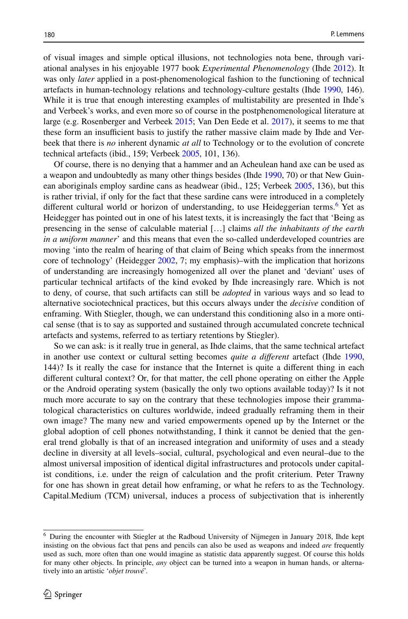of visual images and simple optical illusions, not technologies nota bene, through variational analyses in his enjoyable 1977 book *Experimental Phenomenology* (Ihde [2012](#page-15-18)). It was only *later* applied in a post-phenomenological fashion to the functioning of technical artefacts in human-technology relations and technology-culture gestalts (Ihde [1990](#page-15-1), 146). While it is true that enough interesting examples of multistability are presented in Ihde's and Verbeek's works, and even more so of course in the postphenomenological literature at large (e.g. Rosenberger and Verbeek [2015;](#page-15-19) Van Den Eede et al. [2017\)](#page-16-5), it seems to me that these form an insufficient basis to justify the rather massive claim made by Ihde and Verbeek that there is *no* inherent dynamic *at all* to Technology or to the evolution of concrete technical artefacts (ibid., 159; Verbeek [2005](#page-16-0), 101, 136).

Of course, there is no denying that a hammer and an Acheulean hand axe can be used as a weapon and undoubtedly as many other things besides (Ihde [1990,](#page-15-1) 70) or that New Guinean aboriginals employ sardine cans as headwear (ibid., 125; Verbeek [2005](#page-16-0), 136), but this is rather trivial, if only for the fact that these sardine cans were introduced in a completely different cultural world or horizon of understanding, to use Heideggerian terms.<sup>[6](#page-9-0)</sup> Yet as Heidegger has pointed out in one of his latest texts, it is increasingly the fact that 'Being as presencing in the sense of calculable material […] claims *all the inhabitants of the earth in a uniform manner*' and this means that even the so-called underdeveloped countries are moving 'into the realm of hearing of that claim of Being which speaks from the innermost core of technology' (Heidegger [2002,](#page-15-20) 7; my emphasis)–with the implication that horizons of understanding are increasingly homogenized all over the planet and 'deviant' uses of particular technical artifacts of the kind evoked by Ihde increasingly rare. Which is not to deny, of course, that such artifacts can still be *adopted* in various ways and so lead to alternative sociotechnical practices, but this occurs always under the *decisive* condition of enframing. With Stiegler, though, we can understand this conditioning also in a more ontical sense (that is to say as supported and sustained through accumulated concrete technical artefacts and systems, referred to as tertiary retentions by Stiegler).

So we can ask: is it really true in general, as Ihde claims, that the same technical artefact in another use context or cultural setting becomes *quite a diferent* artefact (Ihde [1990](#page-15-1), 144)? Is it really the case for instance that the Internet is quite a diferent thing in each diferent cultural context? Or, for that matter, the cell phone operating on either the Apple or the Android operating system (basically the only two options available today)? Is it not much more accurate to say on the contrary that these technologies impose their grammatological characteristics on cultures worldwide, indeed gradually reframing them in their own image? The many new and varied empowerments opened up by the Internet or the global adoption of cell phones notwithstanding, I think it cannot be denied that the general trend globally is that of an increased integration and uniformity of uses and a steady decline in diversity at all levels–social, cultural, psychological and even neural–due to the almost universal imposition of identical digital infrastructures and protocols under capitalist conditions, i.e. under the reign of calculation and the proft criterium. Peter Trawny for one has shown in great detail how enframing, or what he refers to as the Technology. Capital.Medium (TCM) universal, induces a process of subjectivation that is inherently

<span id="page-9-0"></span><sup>&</sup>lt;sup>6</sup> During the encounter with Stiegler at the Radboud University of Nijmegen in January 2018, Ihde kept insisting on the obvious fact that pens and pencils can also be used as weapons and indeed *are* frequently used as such, more often than one would imagine as statistic data apparently suggest. Of course this holds for many other objects. In principle, *any* object can be turned into a weapon in human hands, or alternatively into an artistic '*objet trouvé*'.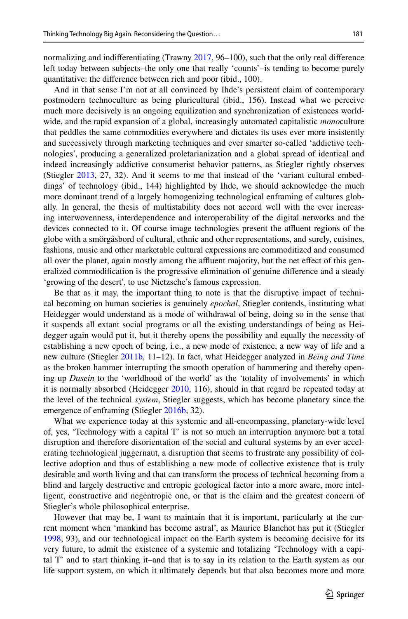normalizing and indiferentiating (Trawny [2017,](#page-16-4) 96–100), such that the only real diference left today between subjects–the only one that really 'counts'–is tending to become purely quantitative: the diference between rich and poor (ibid., 100).

And in that sense I'm not at all convinced by Ihde's persistent claim of contemporary postmodern technoculture as being pluricultural (ibid., 156). Instead what we perceive much more decisively is an ongoing equilization and synchronization of existences worldwide, and the rapid expansion of a global, increasingly automated capitalistic *mono*culture that peddles the same commodities everywhere and dictates its uses ever more insistently and successively through marketing techniques and ever smarter so-called 'addictive technologies', producing a generalized proletarianization and a global spread of identical and indeed increasingly addictive consumerist behavior patterns, as Stiegler rightly observes (Stiegler [2013,](#page-15-6) 27, 32). And it seems to me that instead of the 'variant cultural embeddings' of technology (ibid., 144) highlighted by Ihde, we should acknowledge the much more dominant trend of a largely homogenizing technological enframing of cultures globally. In general, the thesis of multistability does not accord well with the ever increasing interwovenness, interdependence and interoperability of the digital networks and the devices connected to it. Of course image technologies present the afuent regions of the globe with a smörgåsbord of cultural, ethnic and other representations, and surely, cuisines, fashions, music and other marketable cultural expressions are commoditized and consumed all over the planet, again mostly among the affluent majority, but the net effect of this generalized commodifcation is the progressive elimination of genuine diference and a steady 'growing of the desert', to use Nietzsche's famous expression.

Be that as it may, the important thing to note is that the disruptive impact of technical becoming on human societies is genuinely *epochal*, Stiegler contends, instituting what Heidegger would understand as a mode of withdrawal of being, doing so in the sense that it suspends all extant social programs or all the existing understandings of being as Heidegger again would put it, but it thereby opens the possibility and equally the necessity of establishing a new epoch of being, i.e., a new mode of existence, a new way of life and a new culture (Stiegler [2011b,](#page-15-16) 11–12). In fact, what Heidegger analyzed in *Being and Time* as the broken hammer interrupting the smooth operation of hammering and thereby opening up *Dasein* to the 'worldhood of the world' as the 'totality of involvements' in which it is normally absorbed (Heidegger [2010,](#page-15-21) 116), should in that regard be repeated today at the level of the technical *system*, Stiegler suggests, which has become planetary since the emergence of enframing (Stiegler [2016b](#page-15-22), 32).

What we experience today at this systemic and all-encompassing, planetary-wide level of, yes, 'Technology with a capital T' is not so much an interruption anymore but a total disruption and therefore disorientation of the social and cultural systems by an ever accelerating technological juggernaut, a disruption that seems to frustrate any possibility of collective adoption and thus of establishing a new mode of collective existence that is truly desirable and worth living and that can transform the process of technical becoming from a blind and largely destructive and entropic geological factor into a more aware, more intelligent, constructive and negentropic one, or that is the claim and the greatest concern of Stiegler's whole philosophical enterprise.

However that may be, I want to maintain that it is important, particularly at the current moment when 'mankind has become astral', as Maurice Blanchot has put it (Stiegler [1998,](#page-15-3) 93), and our technological impact on the Earth system is becoming decisive for its very future, to admit the existence of a systemic and totalizing 'Technology with a capital T' and to start thinking it–and that is to say in its relation to the Earth system as our life support system, on which it ultimately depends but that also becomes more and more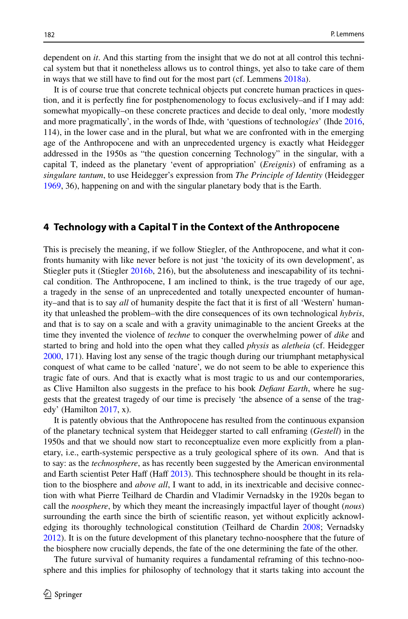dependent on *it*. And this starting from the insight that we do not at all control this technical system but that it nonetheless allows us to control things, yet also to take care of them in ways that we still have to fnd out for the most part (cf. Lemmens [2018a](#page-15-23)).

It is of course true that concrete technical objects put concrete human practices in question, and it is perfectly fne for postphenomenology to focus exclusively–and if I may add: somewhat myopically–on these concrete practices and decide to deal only, 'more modestly and more pragmatically', in the words of Ihde, with 'questions of technolog*ies*' (Ihde [2016](#page-15-24), 114), in the lower case and in the plural, but what we are confronted with in the emerging age of the Anthropocene and with an unprecedented urgency is exactly what Heidegger addressed in the 1950s as "the question concerning Technology" in the singular, with a capital T, indeed as the planetary 'event of appropriation' (*Ereignis*) of enframing as a *singulare tantum*, to use Heidegger's expression from *The Principle of Identity* (Heidegger [1969,](#page-14-4) 36), happening on and with the singular planetary body that is the Earth.

#### **4 Technology with a Capital T in the Context of the Anthropocene**

This is precisely the meaning, if we follow Stiegler, of the Anthropocene, and what it confronts humanity with like never before is not just 'the toxicity of its own development', as Stiegler puts it (Stiegler [2016b,](#page-15-22) 216), but the absoluteness and inescapability of its technical condition. The Anthropocene, I am inclined to think, is the true tragedy of our age, a tragedy in the sense of an unprecedented and totally unexpected encounter of humanity–and that is to say *all* of humanity despite the fact that it is frst of all 'Western' humanity that unleashed the problem–with the dire consequences of its own technological *hybris*, and that is to say on a scale and with a gravity unimaginable to the ancient Greeks at the time they invented the violence of *techne* to conquer the overwhelming power of *dike* and started to bring and hold into the open what they called *physis* as *aletheia* (cf. Heidegger [2000,](#page-15-25) 171). Having lost any sense of the tragic though during our triumphant metaphysical conquest of what came to be called 'nature', we do not seem to be able to experience this tragic fate of ours. And that is exactly what is most tragic to us and our contemporaries, as Clive Hamilton also suggests in the preface to his book *Defant Earth*, where he suggests that the greatest tragedy of our time is precisely 'the absence of a sense of the tragedy' (Hamilton  $2017$ , x).

It is patently obvious that the Anthropocene has resulted from the continuous expansion of the planetary technical system that Heidegger started to call enframing (*Gestell*) in the 1950s and that we should now start to reconceptualize even more explicitly from a planetary, i.e., earth-systemic perspective as a truly geological sphere of its own. And that is to say: as the *technosphere*, as has recently been suggested by the American environmental and Earth scientist Peter Haff (Haff [2013\)](#page-14-6). This technosphere should be thought in its relation to the biosphere and *above all*, I want to add, in its inextricable and decisive connection with what Pierre Teilhard de Chardin and Vladimir Vernadsky in the 1920s began to call the *noosphere*, by which they meant the increasingly impactful layer of thought (*nous*) surrounding the earth since the birth of scientifc reason, yet without explicitly acknowledging its thoroughly technological constitution (Teilhard de Chardin [2008](#page-16-6); Vernadsky [2012\)](#page-16-7). It is on the future development of this planetary techno-noosphere that the future of the biosphere now crucially depends, the fate of the one determining the fate of the other.

The future survival of humanity requires a fundamental reframing of this techno-noosphere and this implies for philosophy of technology that it starts taking into account the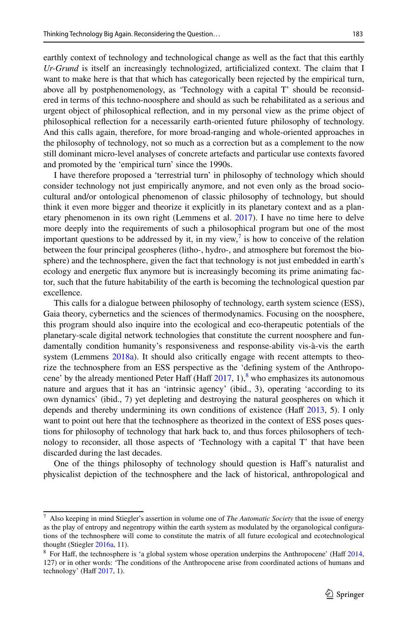earthly context of technology and technological change as well as the fact that this earthly *Ur-Grund* is itself an increasingly technologized, artifcialized context. The claim that I want to make here is that that which has categorically been rejected by the empirical turn, above all by postphenomenology, as 'Technology with a capital T' should be reconsidered in terms of this techno-noosphere and should as such be rehabilitated as a serious and urgent object of philosophical refection, and in my personal view as the prime object of philosophical refection for a necessarily earth-oriented future philosophy of technology. And this calls again, therefore, for more broad-ranging and whole-oriented approaches in the philosophy of technology, not so much as a correction but as a complement to the now still dominant micro-level analyses of concrete artefacts and particular use contexts favored and promoted by the 'empirical turn' since the 1990s.

I have therefore proposed a 'terrestrial turn' in philosophy of technology which should consider technology not just empirically anymore, and not even only as the broad sociocultural and/or ontological phenomenon of classic philosophy of technology, but should think it even more bigger and theorize it explicitly in its planetary context and as a planetary phenomenon in its own right (Lemmens et al. [2017](#page-15-26)). I have no time here to delve more deeply into the requirements of such a philosophical program but one of the most important questions to be addressed by it, in my view,<sup> $7$ </sup> is how to conceive of the relation between the four principal geospheres (litho-, hydro-, and atmosphere but foremost the biosphere) and the technosphere, given the fact that technology is not just embedded in earth's ecology and energetic fux anymore but is increasingly becoming its prime animating factor, such that the future habitability of the earth is becoming the technological question par excellence.

This calls for a dialogue between philosophy of technology, earth system science (ESS), Gaia theory, cybernetics and the sciences of thermodynamics. Focusing on the noosphere, this program should also inquire into the ecological and eco-therapeutic potentials of the planetary-scale digital network technologies that constitute the current noosphere and fundamentally condition humanity's responsiveness and response-ability vis-à-vis the earth system (Lemmens [2018a](#page-15-23)). It should also critically engage with recent attempts to theorize the technosphere from an ESS perspective as the 'defning system of the Anthropocene' by the already mentioned Peter Haff (Haff  $2017, 1$  $2017, 1$ ),<sup>[8](#page-12-1)</sup> who emphasizes its autonomous nature and argues that it has an 'intrinsic agency' (ibid., 3), operating 'according to its own dynamics' (ibid., 7) yet depleting and destroying the natural geospheres on which it depends and thereby undermining its own conditions of existence (Haff  $2013$ , 5). I only want to point out here that the technosphere as theorized in the context of ESS poses questions for philosophy of technology that hark back to, and thus forces philosophers of technology to reconsider, all those aspects of 'Technology with a capital T' that have been discarded during the last decades.

One of the things philosophy of technology should question is Haf's naturalist and physicalist depiction of the technosphere and the lack of historical, anthropological and

<span id="page-12-0"></span><sup>7</sup> Also keeping in mind Stiegler's assertion in volume one of *The Automatic Society* that the issue of energy as the play of entropy and negentropy within the earth system as modulated by the organological confgurations of the technosphere will come to constitute the matrix of all future ecological and ecotechnological thought (Stiegler [2016a](#page-15-4), 11).

<span id="page-12-1"></span><sup>&</sup>lt;sup>8</sup> For Haff, the technosphere is 'a global system whose operation underpins the Anthropocene' (Haff [2014,](#page-14-8) 127) or in other words: 'The conditions of the Anthropocene arise from coordinated actions of humans and technology' (Haff  $2017$ , 1).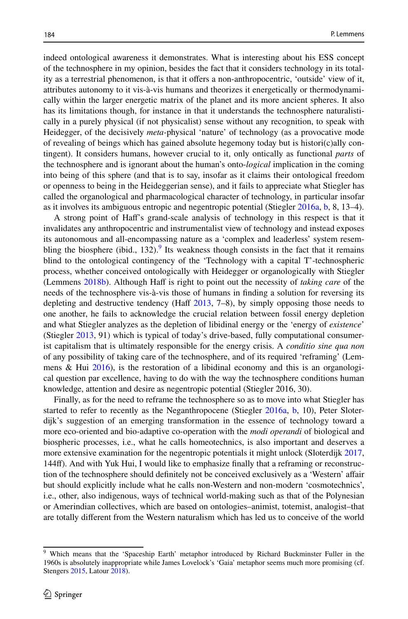indeed ontological awareness it demonstrates. What is interesting about his ESS concept of the technosphere in my opinion, besides the fact that it considers technology in its totality as a terrestrial phenomenon, is that it ofers a non-anthropocentric, 'outside' view of it, attributes autonomy to it vis-à-vis humans and theorizes it energetically or thermodynamically within the larger energetic matrix of the planet and its more ancient spheres. It also has its limitations though, for instance in that it understands the technosphere naturalistically in a purely physical (if not physicalist) sense without any recognition, to speak with Heidegger, of the decisively *meta-*physical 'nature' of technology (as a provocative mode of revealing of beings which has gained absolute hegemony today but is histori(c)ally contingent). It considers humans, however crucial to it, only ontically as functional *parts* of the technosphere and is ignorant about the human's onto-*logical* implication in the coming into being of this sphere (and that is to say, insofar as it claims their ontological freedom or openness to being in the Heideggerian sense), and it fails to appreciate what Stiegler has called the organological and pharmacological character of technology, in particular insofar as it involves its ambiguous entropic and negentropic potential (Stiegler [2016a](#page-15-9), [b,](#page-15-22) 8, 13–4).

A strong point of Haf's grand-scale analysis of technology in this respect is that it invalidates any anthropocentric and instrumentalist view of technology and instead exposes its autonomous and all-encompassing nature as a 'complex and leaderless' system resem-bling the biosphere (ibid., 132).<sup>[9](#page-13-0)</sup> Its weakness though consists in the fact that it remains blind to the ontological contingency of the 'Technology with a capital T'-technospheric process, whether conceived ontologically with Heidegger or organologically with Stiegler (Lemmens [2018b](#page-15-27)). Although Haff is right to point out the necessity of *taking care* of the needs of the technosphere vis-à-vis those of humans in fnding a solution for reversing its depleting and destructive tendency (Haff  $2013$ ,  $7-8$ ), by simply opposing those needs to one another, he fails to acknowledge the crucial relation between fossil energy depletion and what Stiegler analyzes as the depletion of libidinal energy or the 'energy of *existence*' (Stiegler [2013](#page-15-6), 91) which is typical of today's drive-based, fully computational consumerist capitalism that is ultimately responsible for the energy crisis. A *conditio sine qua non* of any possibility of taking care of the technosphere, and of its required 'reframing' (Lemmens  $\&$  Hui [2016\)](#page-15-28), is the restoration of a libidinal economy and this is an organological question par excellence, having to do with the way the technosphere conditions human knowledge, attention and desire as negentropic potential (Stiegler 2016, 30).

Finally, as for the need to reframe the technosphere so as to move into what Stiegler has started to refer to recently as the Neganthropocene (Stiegler [2016a](#page-15-9), [b,](#page-15-22) 10), Peter Sloterdijk's suggestion of an emerging transformation in the essence of technology toward a more eco-oriented and bio-adaptive co-operation with the *modi operandi* of biological and biospheric processes, i.e., what he calls homeotechnics, is also important and deserves a more extensive examination for the negentropic potentials it might unlock (Sloterdijk [2017](#page-15-29), 144f). And with Yuk Hui, I would like to emphasize fnally that a reframing or reconstruction of the technosphere should defnitely not be conceived exclusively as a 'Western' afair but should explicitly include what he calls non-Western and non-modern 'cosmotechnics', i.e., other, also indigenous, ways of technical world-making such as that of the Polynesian or Amerindian collectives, which are based on ontologies–animist, totemist, analogist–that are totally diferent from the Western naturalism which has led us to conceive of the world

<span id="page-13-0"></span><sup>9</sup> Which means that the 'Spaceship Earth' metaphor introduced by Richard Buckminster Fuller in the 1960s is absolutely inappropriate while James Lovelock's 'Gaia' metaphor seems much more promising (cf. Stengers [2015](#page-15-30), Latour [2018](#page-15-31)).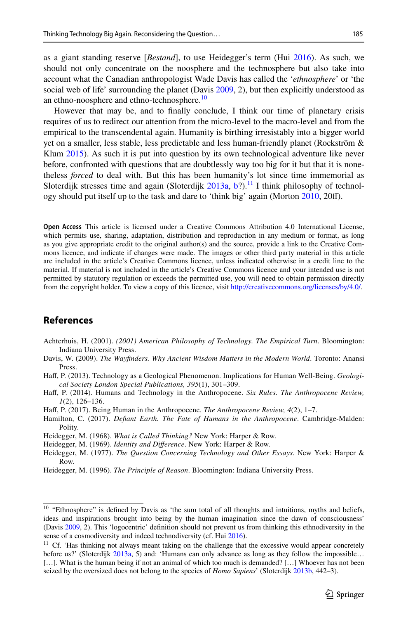as a giant standing reserve [*Bestand*], to use Heidegger's term (Hui [2016](#page-15-32)). As such, we should not only concentrate on the noosphere and the technosphere but also take into account what the Canadian anthropologist Wade Davis has called the '*ethnosphere*' or 'the social web of life' surrounding the planet (Davis [2009,](#page-14-9) 2), but then explicitly understood as an ethno-noosphere and ethno-technosphere.<sup>10</sup>

However that may be, and to fnally conclude, I think our time of planetary crisis requires of us to redirect our attention from the micro-level to the macro-level and from the empirical to the transcendental again. Humanity is birthing irresistably into a bigger world yet on a smaller, less stable, less predictable and less human-friendly planet (Rockström & Klum [2015](#page-15-33)). As such it is put into question by its own technological adventure like never before, confronted with questions that are doubtlessly way too big for it but that it is nonetheless *forced* to deal with. But this has been humanity's lot since time immemorial as Sloterdijk stresses time and again (Sloterdijk  $2013a$ , [b?](#page-15-35)).<sup>[11](#page-14-11)</sup> I think philosophy of technology should put itself up to the task and dare to 'think big' again (Morton [2010,](#page-15-36) 20f).

**Open Access** This article is licensed under a Creative Commons Attribution 4.0 International License, which permits use, sharing, adaptation, distribution and reproduction in any medium or format, as long as you give appropriate credit to the original author(s) and the source, provide a link to the Creative Commons licence, and indicate if changes were made. The images or other third party material in this article are included in the article's Creative Commons licence, unless indicated otherwise in a credit line to the material. If material is not included in the article's Creative Commons licence and your intended use is not permitted by statutory regulation or exceeds the permitted use, you will need to obtain permission directly from the copyright holder. To view a copy of this licence, visit [http://creativecommons.org/licenses/by/4.0/.](http://creativecommons.org/licenses/by/4.0/)

## **References**

- <span id="page-14-0"></span>Achterhuis, H. (2001). *(2001) American Philosophy of Technology. The Empirical Turn*. Bloomington: Indiana University Press.
- <span id="page-14-9"></span>Davis, W. (2009). *The Wayfnders. Why Ancient Wisdom Matters in the Modern World*. Toronto: Anansi Press.
- <span id="page-14-6"></span>Haff, P. (2013). Technology as a Geological Phenomenon. Implications for Human Well-Being. *Geological Society London Special Publications, 395*(1), 301–309.

<span id="page-14-8"></span>Haf, P. (2014). Humans and Technology in the Anthropocene. *Six Rules. The Anthropocene Review, 1*(2), 126–136.

<span id="page-14-7"></span>Haf, P. (2017). Being Human in the Anthropocene. *The Anthropocene Review, 4*(2), 1–7.

<span id="page-14-5"></span>Hamilton, C. (2017). *Defant Earth. The Fate of Humans in the Anthropocene*. Cambridge-Malden: Polity.

<span id="page-14-1"></span>Heidegger, M. (1968). *What is Called Thinking?* New York: Harper & Row.

<span id="page-14-4"></span>Heidegger, M. (1969). *Identity and Diference*. New York: Harper & Row.

<span id="page-14-2"></span>Heidegger, M. (1977). *The Question Concerning Technology and Other Essays*. New York: Harper & Row.

<span id="page-14-3"></span>Heidegger, M. (1996). *The Principle of Reason*. Bloomington: Indiana University Press.

<span id="page-14-10"></span><sup>&</sup>lt;sup>10</sup> "Ethnosphere" is defined by Davis as 'the sum total of all thoughts and intuitions, myths and beliefs, ideas and inspirations brought into being by the human imagination since the dawn of consciousness' (Davis [2009](#page-14-9), 2). This 'logocentric' defnition should not prevent us from thinking this ethnodiversity in the sense of a cosmodiversity and indeed technodiversity (cf. Hui [2016\)](#page-15-32).

<span id="page-14-11"></span><sup>&</sup>lt;sup>11</sup> Cf. 'Has thinking not always meant taking on the challenge that the excessive would appear concretely before us?' (Sloterdijk [2013a,](#page-15-34) 5) and: 'Humans can only advance as long as they follow the impossible... [...]. What is the human being if not an animal of which too much is demanded? [...] Whoever has not been seized by the oversized does not belong to the species of *Homo Sapiens*' (Sloterdijk [2013b](#page-15-35), 442–3).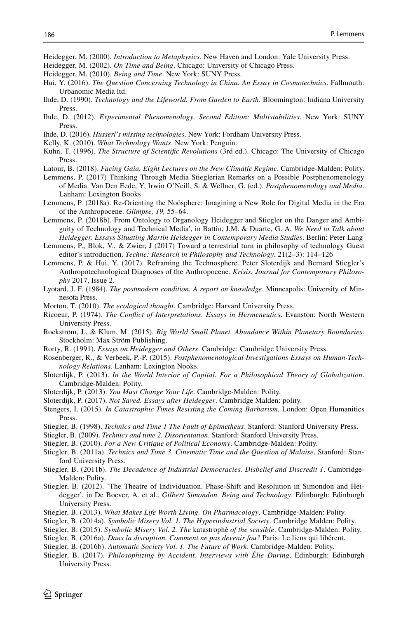<span id="page-15-25"></span>Heidegger, M. (2000). *Introduction to Metaphysics*. New Haven and London: Yale University Press.

- <span id="page-15-20"></span>Heidegger, M. (2002). *On Time and Being*. Chicago: University of Chicago Press.
- <span id="page-15-21"></span>Heidegger, M. (2010). *Being and Time*. New York: SUNY Press.
- <span id="page-15-32"></span>Hui, Y. (2016). *The Question Concerning Technology in China. An Essay in Cosmotechnics*. Fallmouth: Urbanomic Media ltd.
- <span id="page-15-1"></span>Ihde, D. (1990). *Technology and the Lifeworld. From Garden to Earth*. Bloomington: Indiana University Press.
- <span id="page-15-18"></span>Ihde, D. (2012). *Experimental Phenomenology, Second Edition: Multistabilities*. New York: SUNY Press.
- <span id="page-15-24"></span>Ihde, D. (2016). *Husserl's missing technologies*. New York: Fordham University Press.
- <span id="page-15-15"></span>Kelly, K. (2010). *What Technology Wants*. New York: Penguin.
- <span id="page-15-0"></span>Kuhn, T. (1996). *The Structure of Scientifc Revolutions* (3rd ed.). Chicago: The University of Chicago Press.
- <span id="page-15-31"></span>Latour, B. (2018). *Facing Gaia. Eight Lectures on the New Climatic Regime*. Cambridge-Malden: Polity.
- <span id="page-15-2"></span>Lemmens, P. (2017) Thinking Through Media Stieglerian Remarks on a Possible Postphenomenology of Media. Van Den Eede, Y, Irwin O'Neill, S. & Wellner, G. (ed.). *Postphenomenology and Media*. Lanham: Lexington Books
- <span id="page-15-23"></span>Lemmens, P. (2018a). Re-Orienting the Noösphere: Imagining a New Role for Digital Media in the Era of the Anthropocene. *Glimpse, 19,* 55–64.
- <span id="page-15-27"></span>Lemmens, P. (2018b). From Ontology to Organology Heidegger and Stiegler on the Danger and Ambiguity of Technology and Technical Media', in Battin, J.M. & Duarte, G. A, *We Need to Talk about Heidegger. Essays Situating Martin Heidegger in Contemporary Media Studies*. Berlin: Peter Lang
- <span id="page-15-26"></span>Lemmens, P., Blok, V., & Zwier, J (2017) Toward a terrestrial turn in philosophy of technology Guest editor's introduction. *Techne: Research in Philosophy and Technology*, 21(2–3): 114–126
- <span id="page-15-28"></span>Lemmens, P. & Hui, Y. (2017). Reframing the Technosphere. Peter Sloterdijk and Bernard Stiegler's Anthropotechnological Diagnoses of the Anthropocene. *Krisis. Journal for Contemporary Philosophy* 2017, Issue 2.
- <span id="page-15-14"></span>Lyotard, J. F. (1984). *The postmodern condition. A report on knowledge*. Minneapolis: University of Minnesota Press.
- <span id="page-15-36"></span>Morton, T. (2010). *The ecological thought*. Cambridge: Harvard University Press.
- <span id="page-15-11"></span>Ricoeur, P. (1974). *The Confict of Interpretations. Essays in Hermeneutics*. Evanston: North Western University Press.
- <span id="page-15-33"></span>Rockström, J., & Klum, M. (2015). *Big World Small Planet. Abundance Within Planetary Boundaries*. Stockholm: Max Ström Publishing.
- <span id="page-15-13"></span>Rorty, R. (1991). *Essays on Heidegger and Others*. Cambridge: Cambridge University Press.
- <span id="page-15-19"></span>Rosenberger, R., & Verbeek, P.-P. (2015). *Postphenomenological Investigations Essays on Human-Technology Relations*. Lanham: Lexington Nooks.
- <span id="page-15-34"></span>Sloterdijk, P. (2013). *In the World Interior of Capital. For a Philosophical Theory of Globalization*. Cambridge-Malden: Polity.
- <span id="page-15-35"></span>Sloterdijk, P. (2013). *You Must Change Your Life*. Cambridge-Malden: Polity.
- <span id="page-15-29"></span>Sloterdijk, P. (2017). *Not Saved. Essays after Heidegger*. Cambridge Malden: polity.
- <span id="page-15-30"></span>Stengers, I. (2015). *In Catastrophic Times Resisting the Coming Barbarism.* London: Open Humanities Press.
- <span id="page-15-3"></span>Stiegler, B. (1998). *Technics and Time 1 The Fault of Epimetheus*. Stanford: Stanford University Press.
- <span id="page-15-10"></span>Stiegler, B. (2009). *Technics and time 2. Disorientation*. Stanford: Stanford University Press.
- <span id="page-15-17"></span>Stiegler, B. (2010). *For a New Critique of Political Economy*. Cambridge-Malden: Polity.
- <span id="page-15-7"></span>Stiegler, B. (2011a). *Technics and Time 3. Cinematic Time and the Question of Malaise*. Stanford: Stanford University Press.
- <span id="page-15-16"></span>Stiegler, B. (2011b). *The Decadence of Industrial Democracies. Disbelief and Discredit 1*. Cambridge-Malden: Polity.
- <span id="page-15-8"></span>Stiegler, B. (2012). 'The Theatre of Individuation. Phase-Shift and Resolution in Simondon and Heidegger', in De Boever, A. et al., *Gilbert Simondon. Being and Technology*. Edinburgh: Edinburgh University Press.
- <span id="page-15-6"></span>Stiegler, B. (2013). *What Makes Life Worth Living. On Pharmacology*. Cambridge-Malden: Polity.
- <span id="page-15-12"></span>Stiegler, B. (2014a). *Symbolic Misery Vol. 1. The Hyperindustrial Society*. Cambridge Malden: Polity.
- <span id="page-15-5"></span>Stiegler, B. (2015). *Symbolic Misery Vol. 2. The* katastrophè *of the sensible*. Cambridge-Malden: Polity.
- <span id="page-15-22"></span>Stiegler, B. (2016a). *Dans la disruption. Comment ne pas devenir fou?* Paris: Le liens qui libérent.
- <span id="page-15-9"></span>Stiegler, B. (2016b). *Automatic Society Vol. 1. The Future of Work*. Cambridge-Malden: Polity.
- <span id="page-15-4"></span>Stiegler, B. (2017). *Philosophizing by Accident. Interviews with Élie During*. Edinburgh: Edinburgh University Press.